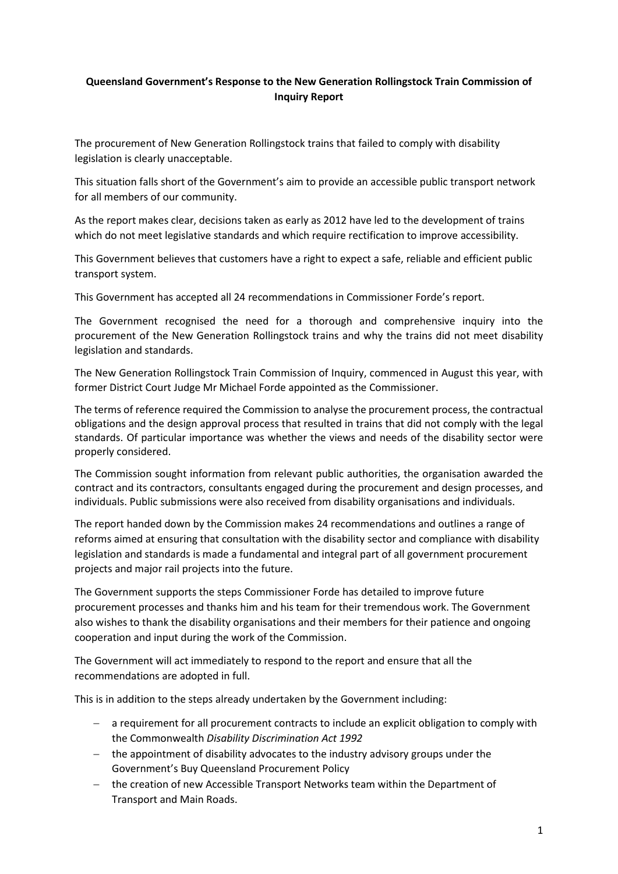## **Queensland Government's Response to the New Generation Rollingstock Train Commission of Inquiry Report**

The procurement of New Generation Rollingstock trains that failed to comply with disability legislation is clearly unacceptable.

This situation falls short of the Government's aim to provide an accessible public transport network for all members of our community.

As the report makes clear, decisions taken as early as 2012 have led to the development of trains which do not meet legislative standards and which require rectification to improve accessibility.

This Government believes that customers have a right to expect a safe, reliable and efficient public transport system.

This Government has accepted all 24 recommendations in Commissioner Forde's report.

The Government recognised the need for a thorough and comprehensive inquiry into the procurement of the New Generation Rollingstock trains and why the trains did not meet disability legislation and standards.

The New Generation Rollingstock Train Commission of Inquiry, commenced in August this year, with former District Court Judge Mr Michael Forde appointed as the Commissioner.

The terms of reference required the Commission to analyse the procurement process, the contractual obligations and the design approval process that resulted in trains that did not comply with the legal standards. Of particular importance was whether the views and needs of the disability sector were properly considered.

The Commission sought information from relevant public authorities, the organisation awarded the contract and its contractors, consultants engaged during the procurement and design processes, and individuals. Public submissions were also received from disability organisations and individuals.

The report handed down by the Commission makes 24 recommendations and outlines a range of reforms aimed at ensuring that consultation with the disability sector and compliance with disability legislation and standards is made a fundamental and integral part of all government procurement projects and major rail projects into the future.

The Government supports the steps Commissioner Forde has detailed to improve future procurement processes and thanks him and his team for their tremendous work. The Government also wishes to thank the disability organisations and their members for their patience and ongoing cooperation and input during the work of the Commission.

The Government will act immediately to respond to the report and ensure that all the recommendations are adopted in full.

This is in addition to the steps already undertaken by the Government including:

- − a requirement for all procurement contracts to include an explicit obligation to comply with the Commonwealth *Disability Discrimination Act 1992*
- − the appointment of disability advocates to the industry advisory groups under the Government's Buy Queensland Procurement Policy
- − the creation of new Accessible Transport Networks team within the Department of Transport and Main Roads.